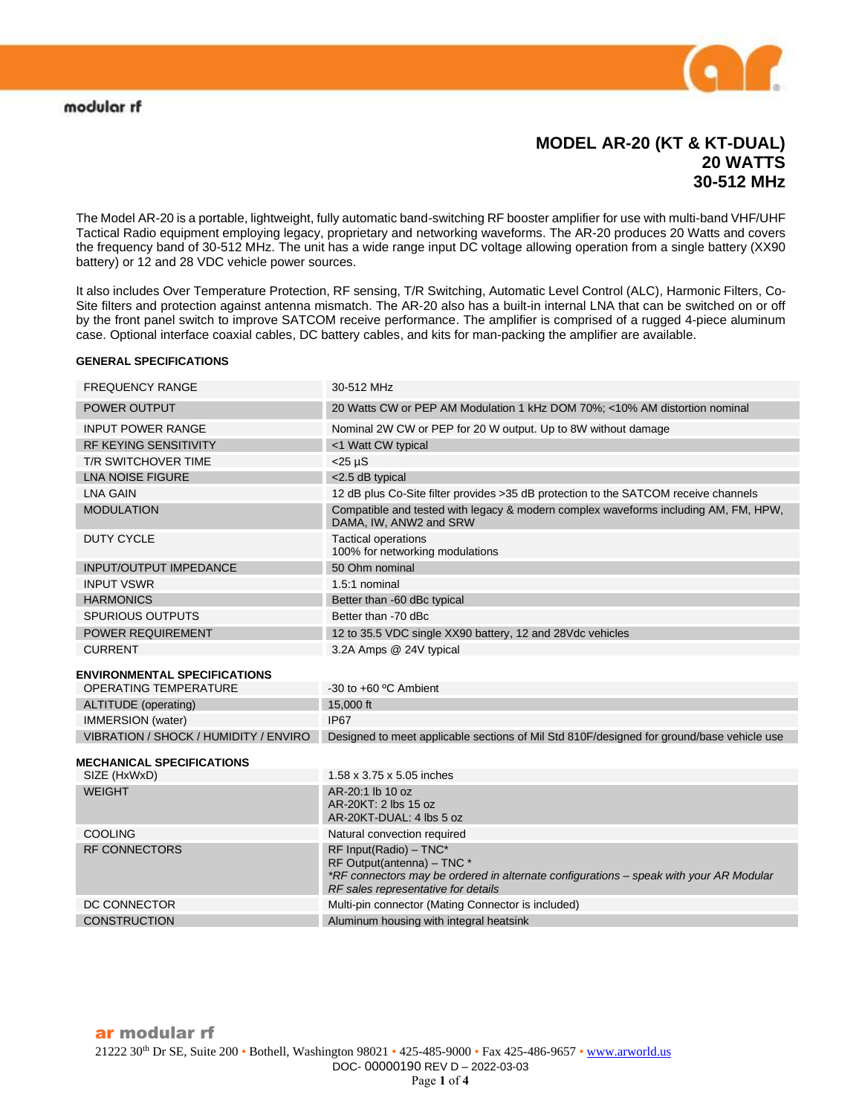

## **MODEL AR-20 (KT & KT-DUAL) 20 WATTS 30-512 MHz**

The Model AR-20 is a portable, lightweight, fully automatic band-switching RF booster amplifier for use with multi-band VHF/UHF Tactical Radio equipment employing legacy, proprietary and networking waveforms. The AR-20 produces 20 Watts and covers the frequency band of 30-512 MHz. The unit has a wide range input DC voltage allowing operation from a single battery (XX90 battery) or 12 and 28 VDC vehicle power sources.

It also includes Over Temperature Protection, RF sensing, T/R Switching, Automatic Level Control (ALC), Harmonic Filters, Co-Site filters and protection against antenna mismatch. The AR-20 also has a built-in internal LNA that can be switched on or off by the front panel switch to improve SATCOM receive performance. The amplifier is comprised of a rugged 4-piece aluminum case. Optional interface coaxial cables, DC battery cables, and kits for man-packing the amplifier are available.

#### **GENERAL SPECIFICATIONS**

| <b>FREQUENCY RANGE</b>                | 30-512 MHz                                                                                                                                                                            |
|---------------------------------------|---------------------------------------------------------------------------------------------------------------------------------------------------------------------------------------|
| <b>POWER OUTPUT</b>                   | 20 Watts CW or PEP AM Modulation 1 kHz DOM 70%; <10% AM distortion nominal                                                                                                            |
| <b>INPUT POWER RANGE</b>              | Nominal 2W CW or PEP for 20 W output. Up to 8W without damage                                                                                                                         |
| <b>RF KEYING SENSITIVITY</b>          | <1 Watt CW typical                                                                                                                                                                    |
| <b>T/R SWITCHOVER TIME</b>            | $<$ 25 µS                                                                                                                                                                             |
| <b>LNA NOISE FIGURE</b>               | <2.5 dB typical                                                                                                                                                                       |
| <b>LNA GAIN</b>                       | 12 dB plus Co-Site filter provides > 35 dB protection to the SATCOM receive channels                                                                                                  |
| <b>MODULATION</b>                     | Compatible and tested with legacy & modern complex waveforms including AM, FM, HPW,<br>DAMA, IW, ANW2 and SRW                                                                         |
| <b>DUTY CYCLE</b>                     | <b>Tactical operations</b><br>100% for networking modulations                                                                                                                         |
| <b>INPUT/OUTPUT IMPEDANCE</b>         | 50 Ohm nominal                                                                                                                                                                        |
| <b>INPUT VSWR</b>                     | 1.5:1 nominal                                                                                                                                                                         |
| <b>HARMONICS</b>                      | Better than -60 dBc typical                                                                                                                                                           |
| <b>SPURIOUS OUTPUTS</b>               | Better than -70 dBc                                                                                                                                                                   |
| <b>POWER REQUIREMENT</b>              | 12 to 35.5 VDC single XX90 battery, 12 and 28Vdc vehicles                                                                                                                             |
| <b>CURRENT</b>                        | 3.2A Amps @ 24V typical                                                                                                                                                               |
| <b>ENVIRONMENTAL SPECIFICATIONS</b>   |                                                                                                                                                                                       |
| <b>OPERATING TEMPERATURE</b>          | $-30$ to $+60$ °C Ambient                                                                                                                                                             |
| ALTITUDE (operating)                  | 15,000 ft                                                                                                                                                                             |
| <b>IMMERSION</b> (water)              | <b>IP67</b>                                                                                                                                                                           |
| VIBRATION / SHOCK / HUMIDITY / ENVIRO | Designed to meet applicable sections of Mil Std 810F/designed for ground/base vehicle use                                                                                             |
| <b>MECHANICAL SPECIFICATIONS</b>      |                                                                                                                                                                                       |
| SIZE (HxWxD)                          | 1.58 x 3.75 x 5.05 inches                                                                                                                                                             |
| <b>WEIGHT</b>                         | AR-20:1 lb 10 oz<br>AR-20KT: 2 lbs 15 oz<br>AR-20KT-DUAL: 4 lbs 5 oz                                                                                                                  |
| COOLING                               | Natural convection required                                                                                                                                                           |
| <b>RF CONNECTORS</b>                  | RF Input(Radio) - TNC*<br>RF Output(antenna) - TNC *<br>*RF connectors may be ordered in alternate configurations – speak with your AR Modular<br>RF sales representative for details |
| DC CONNECTOR                          | Multi-pin connector (Mating Connector is included)                                                                                                                                    |
| <b>CONSTRUCTION</b>                   | Aluminum housing with integral heatsink                                                                                                                                               |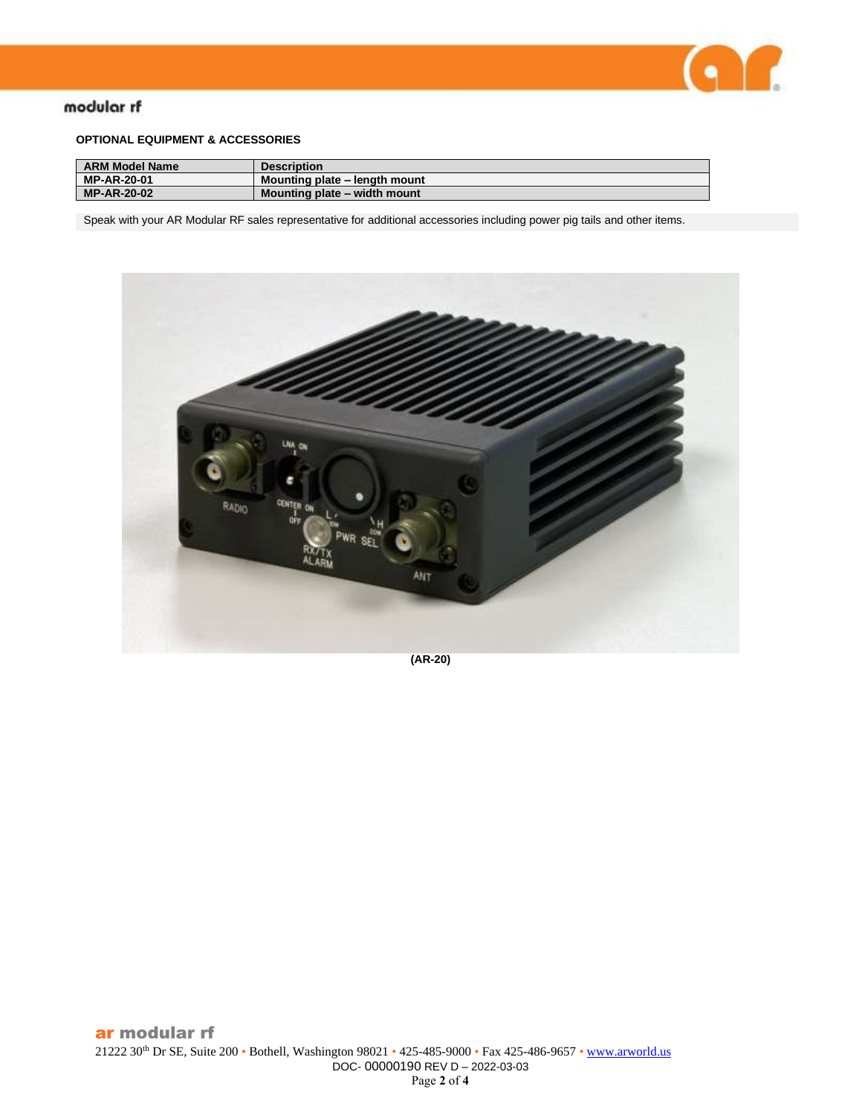

## modular rf

### **OPTIONAL EQUIPMENT & ACCESSORIES**

| <b>ARM Model Name</b> | <b>Description</b>            |
|-----------------------|-------------------------------|
| <b>MP-AR-20-01</b>    | Mounting plate – length mount |
| <b>MP-AR-20-02</b>    | Mounting plate – width mount  |

Speak with your AR Modular RF sales representative for additional accessories including power pig tails and other items.



**(AR-20)**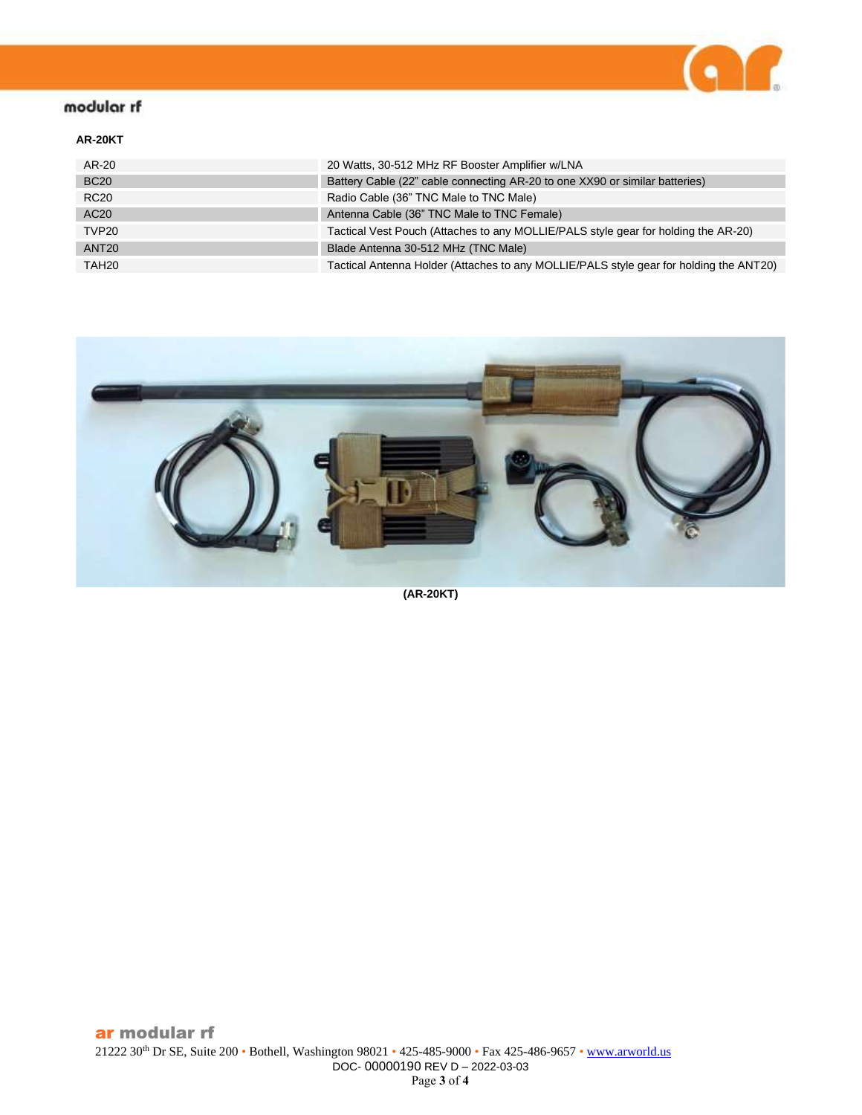

# modular rf

### **AR-20KT**

| AR-20             | 20 Watts, 30-512 MHz RF Booster Amplifier w/LNA                                        |
|-------------------|----------------------------------------------------------------------------------------|
| <b>BC20</b>       | Battery Cable (22" cable connecting AR-20 to one XX90 or similar batteries)            |
| <b>RC20</b>       | Radio Cable (36" TNC Male to TNC Male)                                                 |
| AC20              | Antenna Cable (36" TNC Male to TNC Female)                                             |
| TVP <sub>20</sub> | Tactical Vest Pouch (Attaches to any MOLLIE/PALS style gear for holding the AR-20)     |
| ANT <sub>20</sub> | Blade Antenna 30-512 MHz (TNC Male)                                                    |
| TAH <sub>20</sub> | Tactical Antenna Holder (Attaches to any MOLLIE/PALS style gear for holding the ANT20) |



**(AR-20KT)**